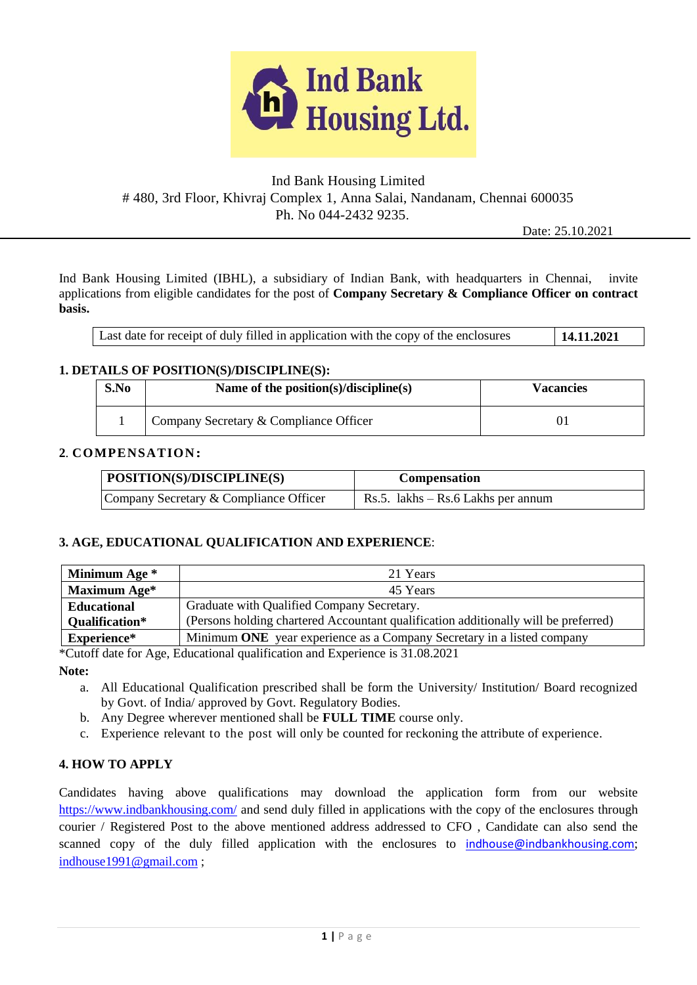

# Ind Bank Housing Limited # 480, 3rd Floor, Khivraj Complex 1, Anna Salai, Nandanam, Chennai 600035 Ph. No 044-2432 9235.

Date: 25.10.2021

Ind Bank Housing Limited (IBHL), a subsidiary of Indian Bank, with headquarters in Chennai, invite applications from eligible candidates for the post of **Company Secretary & Compliance Officer on contract basis.**

| Last date for receipt of duly filled in application with the copy of the enclosures | 14.11.2021 |
|-------------------------------------------------------------------------------------|------------|
|-------------------------------------------------------------------------------------|------------|

### **1. DETAILS OF POSITION(S)/DISCIPLINE(S):**

| S.No | Name of the position(s)/discipline(s)  | Vacancies |
|------|----------------------------------------|-----------|
|      | Company Secretary & Compliance Officer |           |

#### **2**. **COMPENSATION:**

| POSITION(S)/DISCIPLINE(S)              | Compensation                         |
|----------------------------------------|--------------------------------------|
| Company Secretary & Compliance Officer | Rs.5. $lakhs - Rs.6$ Lakhs per annum |

### **3. AGE, EDUCATIONAL QUALIFICATION AND EXPERIENCE**:

| Minimum Age *         | 21 Years                                                                            |  |
|-----------------------|-------------------------------------------------------------------------------------|--|
| Maximum Age*          | 45 Years                                                                            |  |
| <b>Educational</b>    | Graduate with Qualified Company Secretary.                                          |  |
| <b>Qualification*</b> | (Persons holding chartered Accountant qualification additionally will be preferred) |  |
| Experience*           | Minimum ONE year experience as a Company Secretary in a listed company              |  |

\*Cutoff date for Age, Educational qualification and Experience is 31.08.2021

**Note:**

- a. All Educational Qualification prescribed shall be form the University/ Institution/ Board recognized by Govt. of India/ approved by Govt. Regulatory Bodies.
- b. Any Degree wherever mentioned shall be **FULL TIME** course only.
- c. Experience relevant to the post will only be counted for reckoning the attribute of experience.

## **4. HOW TO APPLY**

Candidates having above qualifications may download the application form from our website <https://www.indbankhousing.com/> and send duly filled in applications with the copy of the enclosures through courier / Registered Post to the above mentioned address addressed to CFO , Candidate can also send the scanned copy of the duly filled application with the enclosures to indhouse@indbankhousing.com; [indhouse1991@gmail.com](mailto:indhouse1991@gmail.com) ;